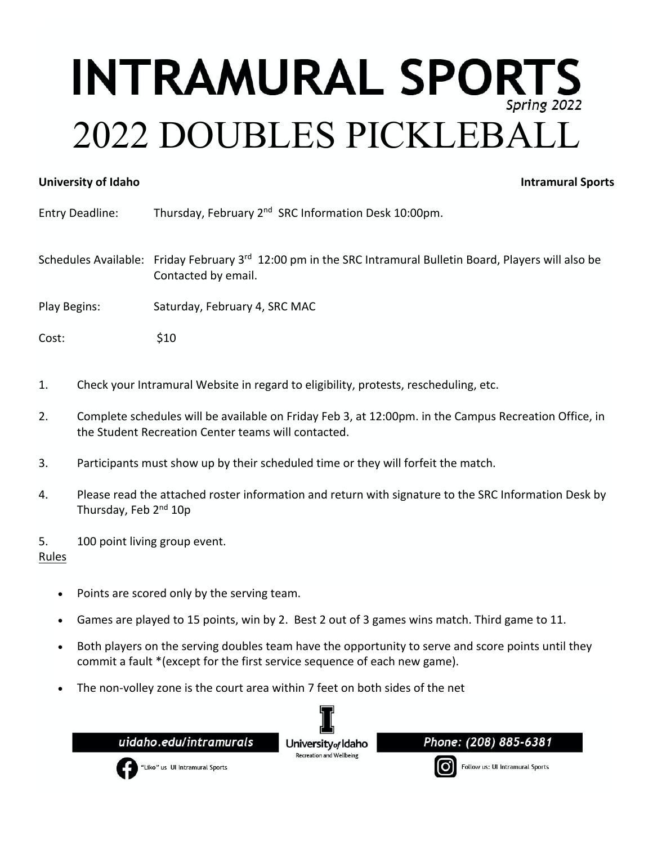## **INTRAMURAL SPORTS** 2022 DOUBLES PICKLEBALL

## **University of Idaho Intramural Sports**

Entry Deadline: Thursday, February 2<sup>nd</sup> SRC Information Desk 10:00pm.

Schedules Available: Friday February 3<sup>rd</sup> 12:00 pm in the SRC Intramural Bulletin Board, Players will also be Contacted by email.

Play Begins: Saturday, February 4, SRC MAC

Cost: \$10

- 1. Check your Intramural Website in regard to eligibility, protests, rescheduling, etc.
- 2. Complete schedules will be available on Friday Feb 3, at 12:00pm. in the Campus Recreation Office, in the Student Recreation Center teams will contacted.
- 3. Participants must show up by their scheduled time or they will forfeit the match.
- 4. Please read the attached roster information and return with signature to the SRC Information Desk by Thursday, Feb 2<sup>nd</sup> 10p
- 5. 100 point living group event.

Rules

- Points are scored only by the serving team.
- Games are played to 15 points, win by 2. Best 2 out of 3 games wins match. Third game to 11.
- Both players on the serving doubles team have the opportunity to serve and score points until they commit a fault \*(except for the first service sequence of each new game).
- The non-volley zone is the court area within 7 feet on both sides of the net